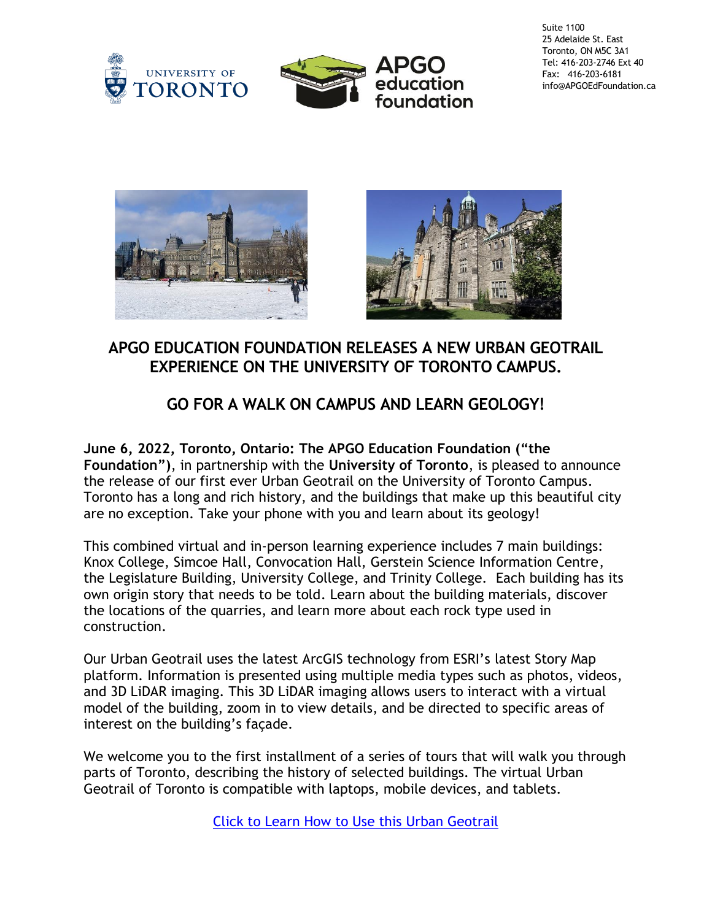



Suite 1100 25 Adelaide St. East Toronto, ON M5C 3A1 Tel: 416-203-2746 Ext 40 Fax: 416-203-6181 info@APGOEdFoundation.ca





## **APGO EDUCATION FOUNDATION RELEASES A NEW URBAN GEOTRAIL EXPERIENCE ON THE UNIVERSITY OF TORONTO CAMPUS.**

## **GO FOR A WALK ON CAMPUS AND LEARN GEOLOGY!**

**June 6, 2022, Toronto, Ontario: The APGO Education Foundation ("the Foundation")**, in partnership with the **University of Toronto**, is pleased to announce the release of our first ever Urban Geotrail on the University of Toronto Campus. Toronto has a long and rich history, and the buildings that make up this beautiful city are no exception. Take your phone with you and learn about its geology!

This combined virtual and in-person learning experience includes 7 main buildings: Knox College, Simcoe Hall, Convocation Hall, Gerstein Science Information Centre, the Legislature Building, University College, and Trinity College. Each building has its own origin story that needs to be told. Learn about the building materials, discover the locations of the quarries, and learn more about each rock type used in construction.

Our Urban Geotrail uses the latest ArcGIS technology from ESRI's latest Story Map platform. Information is presented using multiple media types such as photos, videos, and 3D LiDAR imaging. This 3D LiDAR imaging allows users to interact with a virtual model of the building, zoom in to view details, and be directed to specific areas of interest on the building's façade.

We welcome you to the first installment of a series of tours that will walk you through parts of Toronto, describing the history of selected buildings. The virtual Urban Geotrail of Toronto is compatible with laptops, mobile devices, and tablets.

[Click to Learn How to Use this Urban Geotrail](https://experience.arcgis.com/experience/0d83509c04984d05be460dfbab734a77/page/Home/)